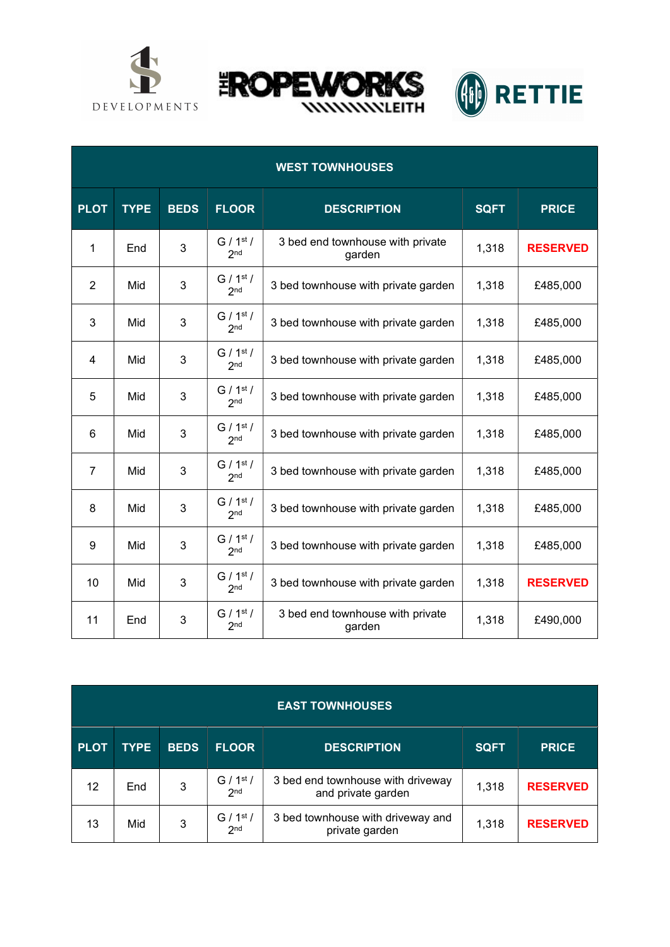





| <b>WEST TOWNHOUSES</b> |             |             |                                          |                                            |             |                 |  |  |
|------------------------|-------------|-------------|------------------------------------------|--------------------------------------------|-------------|-----------------|--|--|
| <b>PLOT</b>            | <b>TYPE</b> | <b>BEDS</b> | <b>FLOOR</b>                             | <b>DESCRIPTION</b>                         | <b>SQFT</b> | <b>PRICE</b>    |  |  |
| $\mathbf{1}$           | End         | 3           | G / 1 <sup>st</sup> /<br>2 <sub>nd</sub> | 3 bed end townhouse with private<br>garden | 1,318       | <b>RESERVED</b> |  |  |
| $\overline{2}$         | Mid         | 3           | G / 1 <sup>st</sup> /<br>2 <sub>nd</sub> | 3 bed townhouse with private garden        | 1,318       | £485,000        |  |  |
| 3                      | Mid         | 3           | G / 1 <sup>st</sup> /<br>2 <sub>nd</sub> | 3 bed townhouse with private garden        | 1,318       | £485,000        |  |  |
| 4                      | Mid         | 3           | G / 1 <sup>st</sup> /<br>2 <sub>nd</sub> | 3 bed townhouse with private garden        | 1,318       | £485,000        |  |  |
| 5                      | Mid         | 3           | G / 1 <sup>st</sup> /<br>2 <sub>nd</sub> | 3 bed townhouse with private garden        | 1,318       | £485,000        |  |  |
| 6                      | Mid         | 3           | G / 1 <sup>st</sup> /<br>2 <sub>nd</sub> | 3 bed townhouse with private garden        | 1,318       | £485,000        |  |  |
| $\overline{7}$         | Mid         | 3           | G / 1 <sup>st</sup> /<br>2 <sub>nd</sub> | 3 bed townhouse with private garden        | 1,318       | £485,000        |  |  |
| 8                      | Mid         | 3           | G / 1 <sup>st</sup> /<br>2 <sub>nd</sub> | 3 bed townhouse with private garden        | 1,318       | £485,000        |  |  |
| 9                      | Mid         | 3           | G / 1 <sup>st</sup> /<br>2 <sub>nd</sub> | 3 bed townhouse with private garden        | 1,318       | £485,000        |  |  |
| 10                     | Mid         | 3           | G / 1 <sup>st</sup> /<br>2 <sub>nd</sub> | 3 bed townhouse with private garden        | 1,318       | <b>RESERVED</b> |  |  |
| 11                     | End         | 3           | G / 1 <sup>st</sup> /<br>2 <sub>nd</sub> | 3 bed end townhouse with private<br>garden | 1,318       | £490,000        |  |  |

| <b>EAST TOWNHOUSES</b> |             |             |                                          |                                                         |             |                 |  |  |
|------------------------|-------------|-------------|------------------------------------------|---------------------------------------------------------|-------------|-----------------|--|--|
| <b>PLOT</b>            | <b>TYPE</b> | <b>BEDS</b> | <b>FLOOR</b>                             | <b>DESCRIPTION</b>                                      | <b>SQFT</b> | <b>PRICE</b>    |  |  |
| 12                     | End         | 3           | G / 1 <sup>st</sup> /<br>2 <sub>nd</sub> | 3 bed end townhouse with driveway<br>and private garden | 1,318       | <b>RESERVED</b> |  |  |
| 13                     | Mid         | 3           | G / 1 <sup>st</sup> /<br>2 <sub>nd</sub> | 3 bed townhouse with driveway and<br>private garden     | 1,318       | <b>RESERVED</b> |  |  |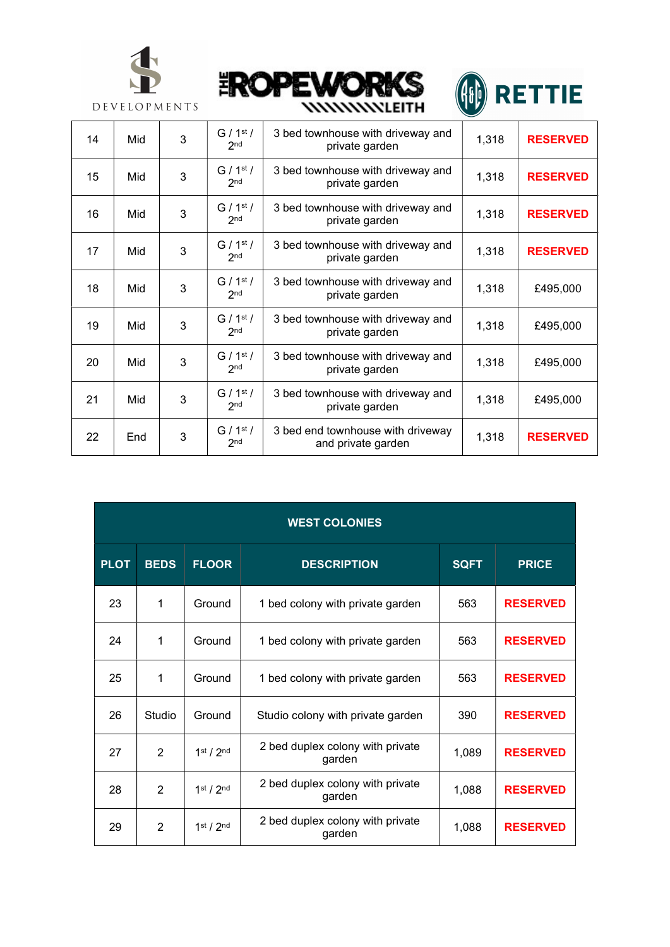





| 14 | Mid | 3 | G / 1 <sup>st</sup> /<br>2 <sub>nd</sub> | 3 bed townhouse with driveway and<br>private garden     | 1,318 | <b>RESERVED</b> |
|----|-----|---|------------------------------------------|---------------------------------------------------------|-------|-----------------|
| 15 | Mid | 3 | G / 1 <sup>st</sup> /<br>2 <sub>nd</sub> | 3 bed townhouse with driveway and<br>private garden     | 1,318 | <b>RESERVED</b> |
| 16 | Mid | 3 | G / 1 <sup>st</sup> /<br>2 <sub>nd</sub> | 3 bed townhouse with driveway and<br>private garden     | 1,318 | <b>RESERVED</b> |
| 17 | Mid | 3 | G / 1 <sup>st</sup> /<br>2 <sub>nd</sub> | 3 bed townhouse with driveway and<br>private garden     | 1,318 | <b>RESERVED</b> |
| 18 | Mid | 3 | G / 1 <sup>st</sup> /<br>2 <sub>nd</sub> | 3 bed townhouse with driveway and<br>private garden     | 1,318 | £495,000        |
| 19 | Mid | 3 | G / 1 <sup>st</sup> /<br>2 <sub>nd</sub> | 3 bed townhouse with driveway and<br>private garden     | 1,318 | £495,000        |
| 20 | Mid | 3 | $G/1^{st}/$<br>2 <sub>nd</sub>           | 3 bed townhouse with driveway and<br>private garden     | 1,318 | £495,000        |
| 21 | Mid | 3 | G / 1 <sup>st</sup> /<br>2 <sub>nd</sub> | 3 bed townhouse with driveway and<br>private garden     | 1,318 | £495,000        |
| 22 | End | 3 | G / 1 <sup>st</sup> /<br>2 <sub>nd</sub> | 3 bed end townhouse with driveway<br>and private garden | 1,318 | <b>RESERVED</b> |

| <b>WEST COLONIES</b> |                |                                   |                                            |             |                 |  |  |
|----------------------|----------------|-----------------------------------|--------------------------------------------|-------------|-----------------|--|--|
| <b>PLOT</b>          | <b>BEDS</b>    | <b>FLOOR</b>                      | <b>DESCRIPTION</b>                         | <b>SQFT</b> | <b>PRICE</b>    |  |  |
| 23                   | 1              | Ground                            | 1 bed colony with private garden           | 563         | <b>RESERVED</b> |  |  |
| 24                   | 1              | Ground                            | 1 bed colony with private garden           | 563         | <b>RESERVED</b> |  |  |
| 25                   | 1              | Ground                            | 1 bed colony with private garden           | 563         | <b>RESERVED</b> |  |  |
| 26                   | Studio         | Ground                            | Studio colony with private garden          | 390         | <b>RESERVED</b> |  |  |
| 27                   | $\overline{2}$ | 1 <sup>st</sup> / 2 <sup>nd</sup> | 2 bed duplex colony with private<br>garden | 1,089       | <b>RESERVED</b> |  |  |
| 28                   | $\mathfrak{p}$ | 1 <sup>st</sup> / 2 <sup>nd</sup> | 2 bed duplex colony with private<br>garden | 1,088       | <b>RESERVED</b> |  |  |
| 29                   | $\overline{2}$ | 1 <sup>st</sup> / 2 <sup>nd</sup> | 2 bed duplex colony with private<br>garden | 1,088       | <b>RESERVED</b> |  |  |